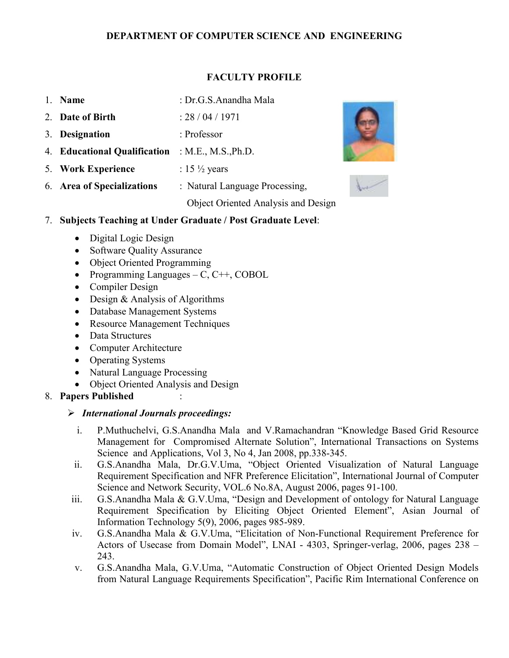#### FACULTY PROFILE

- 1. Name : Dr.G.S.Anandha Mala
- 2. Date of Birth : 28 / 04 / 1971
- 3. Designation : Professor
- 4. Educational Qualification : M.E., M.S.,Ph.D.
- 5. Work Experience :  $15\frac{1}{2}$  years

6. Area of Specializations : Natural Language Processing,

Object Oriented Analysis and Design





#### 7. Subjects Teaching at Under Graduate / Post Graduate Level:

- Digital Logic Design
- Software Quality Assurance
- Object Oriented Programming
- Programming Languages C,  $C_{++}$ , COBOL
- Compiler Design
- Design & Analysis of Algorithms
- Database Management Systems
- Resource Management Techniques
- Data Structures
- Computer Architecture
- Operating Systems
- Natural Language Processing
- Object Oriented Analysis and Design
- 8. Papers Published :

#### $\triangleright$  International Journals proceedings:

- i. P.Muthuchelvi, G.S.Anandha Mala and V.Ramachandran "Knowledge Based Grid Resource Management for Compromised Alternate Solution", International Transactions on Systems Science and Applications, Vol 3, No 4, Jan 2008, pp.338-345.
- ii. G.S.Anandha Mala, Dr.G.V.Uma, "Object Oriented Visualization of Natural Language Requirement Specification and NFR Preference Elicitation", International Journal of Computer Science and Network Security, VOL.6 No.8A, August 2006, pages 91-100.
- iii. G.S.Anandha Mala & G.V.Uma, "Design and Development of ontology for Natural Language Requirement Specification by Eliciting Object Oriented Element", Asian Journal of Information Technology 5(9), 2006, pages 985-989.
- iv. G.S.Anandha Mala & G.V.Uma, "Elicitation of Non-Functional Requirement Preference for Actors of Usecase from Domain Model", LNAI - 4303, Springer-verlag, 2006, pages 238 – 243.
- v. G.S.Anandha Mala, G.V.Uma, "Automatic Construction of Object Oriented Design Models from Natural Language Requirements Specification", Pacific Rim International Conference on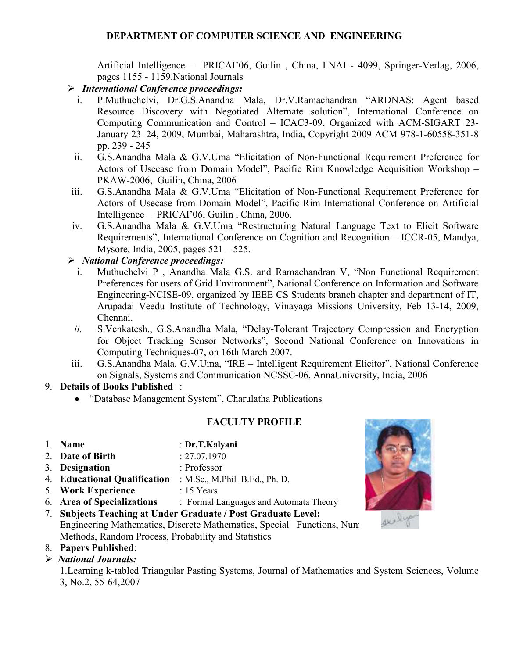Artificial Intelligence – PRICAI'06, Guilin , China, LNAI - 4099, Springer-Verlag, 2006, pages 1155 - 1159.National Journals

- International Conference proceedings:
	- i. P.Muthuchelvi, Dr.G.S.Anandha Mala, Dr.V.Ramachandran "ARDNAS: Agent based Resource Discovery with Negotiated Alternate solution", International Conference on Computing Communication and Control – ICAC3-09, Organized with ACM-SIGART 23- January 23–24, 2009, Mumbai, Maharashtra, India, Copyright 2009 ACM 978-1-60558-351-8 pp. 239 - 245
	- ii. G.S.Anandha Mala & G.V.Uma "Elicitation of Non-Functional Requirement Preference for Actors of Usecase from Domain Model", Pacific Rim Knowledge Acquisition Workshop – PKAW-2006, Guilin, China, 2006
- iii. G.S.Anandha Mala & G.V.Uma "Elicitation of Non-Functional Requirement Preference for Actors of Usecase from Domain Model", Pacific Rim International Conference on Artificial Intelligence – PRICAI'06, Guilin , China, 2006.
- iv. G.S.Anandha Mala & G.V.Uma "Restructuring Natural Language Text to Elicit Software Requirements", International Conference on Cognition and Recognition – ICCR-05, Mandya, Mysore, India, 2005, pages 521 – 525.

# $\triangleright$  National Conference proceedings:

- i. Muthuchelvi P , Anandha Mala G.S. and Ramachandran V, "Non Functional Requirement Preferences for users of Grid Environment", National Conference on Information and Software Engineering-NCISE-09, organized by IEEE CS Students branch chapter and department of IT, Arupadai Veedu Institute of Technology, Vinayaga Missions University, Feb 13-14, 2009, Chennai.
- ii. S.Venkatesh., G.S.Anandha Mala, "Delay-Tolerant Trajectory Compression and Encryption for Object Tracking Sensor Networks", Second National Conference on Innovations in Computing Techniques-07, on 16th March 2007.
- iii. G.S.Anandha Mala, G.V.Uma, "IRE Intelligent Requirement Elicitor", National Conference on Signals, Systems and Communication NCSSC-06, AnnaUniversity, India, 2006

# 9. Details of Books Published :

• "Database Management System", Charulatha Publications

# FACULTY PROFILE

- 1. Name : Dr.T.Kalyani
- 2. **Date of Birth** : 27.07.1970
- 3. Designation : Professor
- 4. Educational Qualification : M.Sc., M.Phil B.Ed., Ph. D. .
- 5. Work Experience : 15 Years
- 6. Area of Specializations : Formal Languages and Automata Theory
- 7. Subjects Teaching at Under Graduate / Post Graduate Level: Engineering Mathematics, Discrete Mathematics, Special Functions, Num Methods, Random Process, Probability and Statistics
- 8. Papers Published:
- $\triangleright$  National Journals:

1.Learning k-tabled Triangular Pasting Systems, Journal of Mathematics and System Sciences, Volume 3, No.2, 55-64,2007

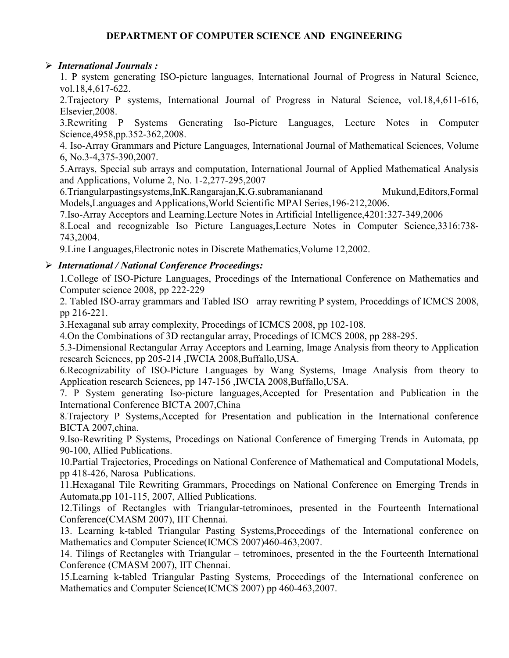#### $\triangleright$  International Journals :

1. P system generating ISO-picture languages, International Journal of Progress in Natural Science, vol.18,4,617-622.

2.Trajectory P systems, International Journal of Progress in Natural Science, vol.18,4,611-616, Elsevier,2008.

3.Rewriting P Systems Generating Iso-Picture Languages, Lecture Notes in Computer Science,4958,pp.352-362,2008.

4. Iso-Array Grammars and Picture Languages, International Journal of Mathematical Sciences, Volume 6, No.3-4,375-390,2007.

5.Arrays, Special sub arrays and computation, International Journal of Applied Mathematical Analysis and Applications, Volume 2, No. 1-2,277-295,2007

6.Triangularpastingsystems,InK.Rangarajan,K.G.subramanianand Mukund,Editors,Formal Models,Languages and Applications,World Scientific MPAI Series,196-212,2006.

7.Iso-Array Acceptors and Learning.Lecture Notes in Artificial Intelligence,4201:327-349,2006

8.Local and recognizable Iso Picture Languages,Lecture Notes in Computer Science,3316:738- 743,2004.

9.Line Languages,Electronic notes in Discrete Mathematics,Volume 12,2002.

#### International / National Conference Proceedings:

1.College of ISO-Picture Languages, Procedings of the International Conference on Mathematics and Computer science 2008, pp 222-229

2. Tabled ISO-array grammars and Tabled ISO –array rewriting P system, Proceddings of ICMCS 2008, pp 216-221.

3.Hexaganal sub array complexity, Procedings of ICMCS 2008, pp 102-108.

4.On the Combinations of 3D rectangular array, Procedings of ICMCS 2008, pp 288-295.

5.3-Dimensional Rectangular Array Acceptors and Learning, Image Analysis from theory to Application research Sciences, pp 205-214 ,IWCIA 2008,Buffallo,USA.

6.Recognizability of ISO-Picture Languages by Wang Systems, Image Analysis from theory to Application research Sciences, pp 147-156 ,IWCIA 2008,Buffallo,USA.

7. P System generating Iso-picture languages,Accepted for Presentation and Publication in the International Conference BICTA 2007,China

8.Trajectory P Systems,Accepted for Presentation and publication in the International conference BICTA 2007,china.

9.Iso-Rewriting P Systems, Procedings on National Conference of Emerging Trends in Automata, pp 90-100, Allied Publications.

10.Partial Trajectories, Procedings on National Conference of Mathematical and Computational Models, pp 418-426, Narosa Publications.

11.Hexaganal Tile Rewriting Grammars, Procedings on National Conference on Emerging Trends in Automata,pp 101-115, 2007, Allied Publications.

12.Tilings of Rectangles with Triangular-tetrominoes, presented in the Fourteenth International Conference(CMASM 2007), IIT Chennai.

13. Learning k-tabled Triangular Pasting Systems,Proceedings of the International conference on Mathematics and Computer Science(ICMCS 2007)460-463,2007.

14. Tilings of Rectangles with Triangular – tetrominoes, presented in the the Fourteenth International Conference (CMASM 2007), IIT Chennai.

15.Learning k-tabled Triangular Pasting Systems, Proceedings of the International conference on Mathematics and Computer Science(ICMCS 2007) pp 460-463,2007.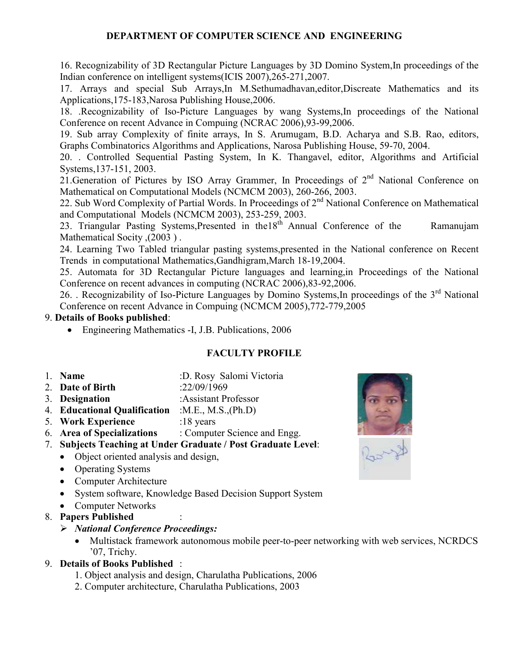16. Recognizability of 3D Rectangular Picture Languages by 3D Domino System,In proceedings of the Indian conference on intelligent systems(ICIS 2007),265-271,2007.

17. Arrays and special Sub Arrays,In M.Sethumadhavan,editor,Discreate Mathematics and its Applications,175-183,Narosa Publishing House,2006.

18. .Recognizability of Iso-Picture Languages by wang Systems,In proceedings of the National Conference on recent Advance in Compuing (NCRAC 2006),93-99,2006.

19. Sub array Complexity of finite arrays, In S. Arumugam, B.D. Acharya and S.B. Rao, editors, Graphs Combinatorics Algorithms and Applications, Narosa Publishing House, 59-70, 2004.

20. . Controlled Sequential Pasting System, In K. Thangavel, editor, Algorithms and Artificial Systems,137-151, 2003.

21. Generation of Pictures by ISO Array Grammer, In Proceedings of  $2<sup>nd</sup>$  National Conference on Mathematical on Computational Models (NCMCM 2003), 260-266, 2003.

22. Sub Word Complexity of Partial Words. In Proceedings of 2<sup>nd</sup> National Conference on Mathematical and Computational Models (NCMCM 2003), 253-259, 2003.

23. Triangular Pasting Systems, Presented in the 18<sup>th</sup> Annual Conference of the Ramanujam Mathematical Socity ,(2003 ) .

24. Learning Two Tabled triangular pasting systems,presented in the National conference on Recent Trends in computational Mathematics,Gandhigram,March 18-19,2004.

25. Automata for 3D Rectangular Picture languages and learning,in Proceedings of the National Conference on recent advances in computing (NCRAC 2006),83-92,2006.

26. . Recognizability of Iso-Picture Languages by Domino Systems, In proceedings of the 3<sup>rd</sup> National Conference on recent Advance in Compuing (NCMCM 2005),772-779,2005

#### 9. Details of Books published:

• Engineering Mathematics -I, J.B. Publications, 2006

- 1. Name :D. Rosy Salomi Victoria
- 2. Date of Birth :22/09/1969
- 3. Designation :Assistant Professor
- 4. Educational Qualification :M.E., M.S.,(Ph.D)
- 5. Work Experience :18 years
- 6. Area of Specializations : Computer Science and Engg.



- Object oriented analysis and design,
- Operating Systems
- Computer Architecture
- System software, Knowledge Based Decision Support System
- Computer Networks
- 8. Papers Published :
	- $\triangleright$  National Conference Proceedings:
		- Multistack framework autonomous mobile peer-to-peer networking with web services, NCRDCS '07, Trichy.
- 9. Details of Books Published :
	- 1. Object analysis and design, Charulatha Publications, 2006
	- 2. Computer architecture, Charulatha Publications, 2003

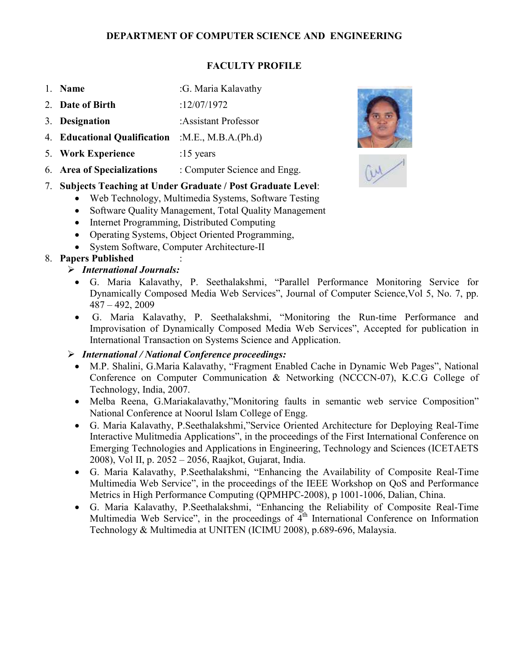# FACULTY PROFILE

- 1. **Name** :G. Maria Kalavathy
- 2. Date of Birth :12/07/1972
- 3. Designation :Assistant Professor
- 4. Educational Qualification :M.E., M.B.A.(Ph.d)
- 5. Work Experience :15 years
- 6. Area of Specializations : Computer Science and Engg.

# 7. Subjects Teaching at Under Graduate / Post Graduate Level:

- Web Technology, Multimedia Systems, Software Testing
- Software Quality Management, Total Quality Management
- Internet Programming, Distributed Computing
- Operating Systems, Object Oriented Programming,
- System Software, Computer Architecture-II

# 8. Papers Published :

- $\triangleright$  International Journals:
	- G. Maria Kalavathy, P. Seethalakshmi, "Parallel Performance Monitoring Service for Dynamically Composed Media Web Services", Journal of Computer Science,Vol 5, No. 7, pp. 487 – 492, 2009
	- G. Maria Kalavathy, P. Seethalakshmi, "Monitoring the Run-time Performance and Improvisation of Dynamically Composed Media Web Services", Accepted for publication in International Transaction on Systems Science and Application.

# $\triangleright$  International / National Conference proceedings:

- M.P. Shalini, G.Maria Kalavathy, "Fragment Enabled Cache in Dynamic Web Pages", National Conference on Computer Communication & Networking (NCCCN-07), K.C.G College of Technology, India, 2007.
- Melba Reena, G.Mariakalavathy,"Monitoring faults in semantic web service Composition" National Conference at Noorul Islam College of Engg.
- G. Maria Kalavathy, P.Seethalakshmi,"Service Oriented Architecture for Deploying Real-Time Interactive Mulitmedia Applications", in the proceedings of the First International Conference on Emerging Technologies and Applications in Engineering, Technology and Sciences (ICETAETS 2008), Vol II, p. 2052 – 2056, Raajkot, Gujarat, India.
- G. Maria Kalavathy, P.Seethalakshmi, "Enhancing the Availability of Composite Real-Time Multimedia Web Service", in the proceedings of the IEEE Workshop on QoS and Performance Metrics in High Performance Computing (QPMHPC-2008), p 1001-1006, Dalian, China.
- G. Maria Kalavathy, P.Seethalakshmi, "Enhancing the Reliability of Composite Real-Time Multimedia Web Service", in the proceedings of  $\tilde{4}^{th}$  International Conference on Information Technology & Multimedia at UNITEN (ICIMU 2008), p.689-696, Malaysia.



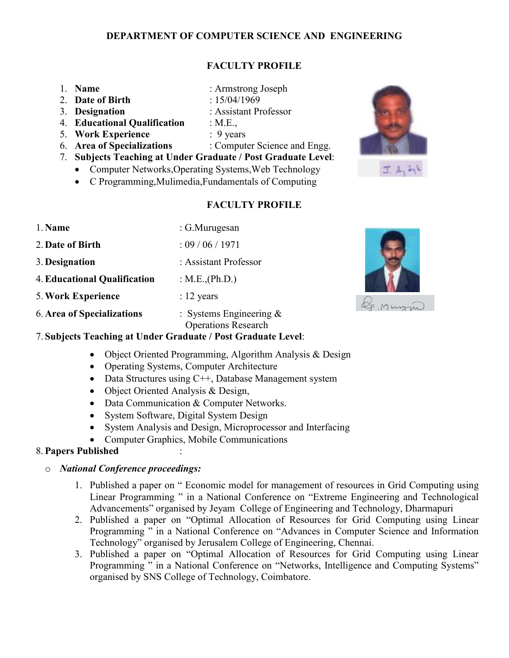# FACULTY PROFILE

| 1. Name                      | : Armstrong Joseph                                            |
|------------------------------|---------------------------------------------------------------|
| 2. Date of Birth             | : $15/04/1969$                                                |
| 3. Designation               | : Assistant Professor                                         |
| 4. Educational Qualification | : $M.E.,$                                                     |
| 5. Work Experience           | $: 9$ years                                                   |
| 6. Area of Specializations   | : Computer Science and Engg.                                  |
|                              | 7. Subjects Teaching at Under Graduate / Post Graduate Level: |

- Computer Networks, Operating Systems, Web Technology
- C Programming,Mulimedia,Fundamentals of Computing

#### FACULTY PROFILE

- 1. Name : G. Murugesan 2. Date of Birth : 09 / 06 / 1971 3. Designation : Assistant Professor 4.Educational Qualification : M.E.,(Ph.D.) 5. Work Experience : 12 years
- 6. Area of Specializations : Systems Engineering  $\&$

Operations Research

#### 7. Subjects Teaching at Under Graduate / Post Graduate Level:

- Object Oriented Programming, Algorithm Analysis & Design
- Operating Systems, Computer Architecture
- Data Structures using C++, Database Management system
- Object Oriented Analysis & Design,
- Data Communication & Computer Networks.
- System Software, Digital System Design
- System Analysis and Design, Microprocessor and Interfacing
- Computer Graphics, Mobile Communications

#### 8.Papers Published :

#### o National Conference proceedings:

- 1. Published a paper on " Economic model for management of resources in Grid Computing using Linear Programming " in a National Conference on "Extreme Engineering and Technological Advancements" organised by Jeyam College of Engineering and Technology, Dharmapuri
- 2. Published a paper on "Optimal Allocation of Resources for Grid Computing using Linear Programming " in a National Conference on "Advances in Computer Science and Information Technology" organised by Jerusalem College of Engineering, Chennai.
- 3. Published a paper on "Optimal Allocation of Resources for Grid Computing using Linear Programming " in a National Conference on "Networks, Intelligence and Computing Systems" organised by SNS College of Technology, Coimbatore.







Le Mussin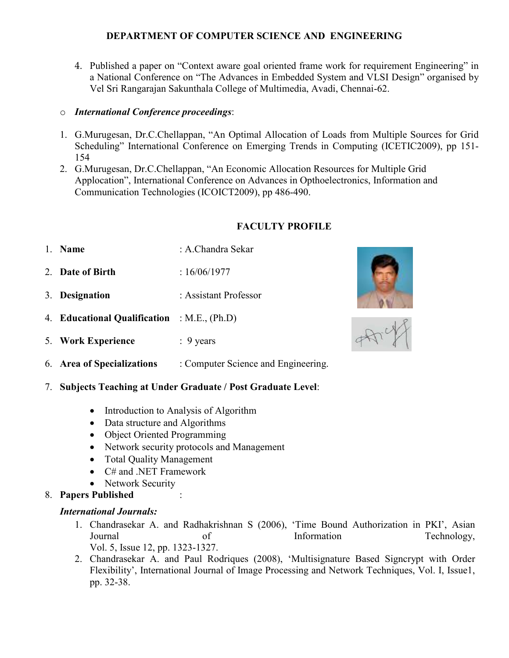4. Published a paper on "Context aware goal oriented frame work for requirement Engineering" in a National Conference on "The Advances in Embedded System and VLSI Design" organised by Vel Sri Rangarajan Sakunthala College of Multimedia, Avadi, Chennai-62.

### o International Conference proceedings:

- 1. G.Murugesan, Dr.C.Chellappan, "An Optimal Allocation of Loads from Multiple Sources for Grid Scheduling" International Conference on Emerging Trends in Computing (ICETIC2009), pp 151- 154
- 2. G.Murugesan, Dr.C.Chellappan, "An Economic Allocation Resources for Multiple Grid Applocation", International Conference on Advances in Opthoelectronics, Information and Communication Technologies (ICOICT2009), pp 486-490.

# FACULTY PROFILE

- 1. **Name** : **A.** Chandra Sekar
- 2 Date of Birth : 16/06/1977
- 3. Designation : Assistant Professor
- 4. Educational Qualification : M.E., (Ph.D)
- 5. Work Experience : 9 years
- 6. Area of Specializations : Computer Science and Engineering.
- 7. Subjects Teaching at Under Graduate / Post Graduate Level:
	- Introduction to Analysis of Algorithm
	- Data structure and Algorithms
	- Object Oriented Programming
	- Network security protocols and Management
	- Total Quality Management
	- C# and .NET Framework
	- Network Security
- 8. Papers Published :

# International Journals:

- 1. Chandrasekar A. and Radhakrishnan S (2006), 'Time Bound Authorization in PKI', Asian Journal of Information Technology, Vol. 5, Issue 12, pp. 1323-1327.
- 2. Chandrasekar A. and Paul Rodriques (2008), 'Multisignature Based Signcrypt with Order Flexibility', International Journal of Image Processing and Network Techniques, Vol. I, Issue1, pp. 32-38.



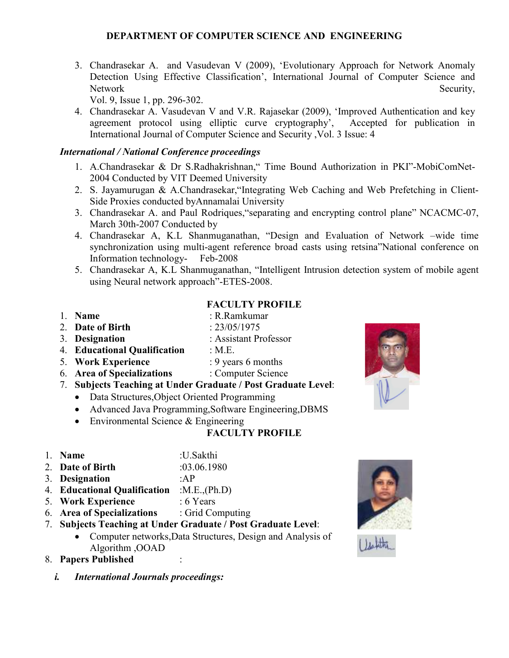3. Chandrasekar A. and Vasudevan V (2009), 'Evolutionary Approach for Network Anomaly Detection Using Effective Classification', International Journal of Computer Science and Network Security,

Vol. 9, Issue 1, pp. 296-302.

4. Chandrasekar A. Vasudevan V and V.R. Rajasekar (2009), 'Improved Authentication and key agreement protocol using elliptic curve cryptography', Accepted for publication in International Journal of Computer Science and Security ,Vol. 3 Issue: 4

### International / National Conference proceedings

- 1. A.Chandrasekar & Dr S.Radhakrishnan," Time Bound Authorization in PKI"-MobiComNet-2004 Conducted by VIT Deemed University
- 2. S. Jayamurugan & A.Chandrasekar,"Integrating Web Caching and Web Prefetching in Client-Side Proxies conducted byAnnamalai University
- 3. Chandrasekar A. and Paul Rodriques,"separating and encrypting control plane" NCACMC-07, March 30th-2007 Conducted by
- 4. Chandrasekar A, K.L Shanmuganathan, "Design and Evaluation of Network –wide time synchronization using multi-agent reference broad casts using retsina"National conference on Information technology- Feb-2008
- 5. Chandrasekar A, K.L Shanmuganathan, "Intelligent Intrusion detection system of mobile agent using Neural network approach"-ETES-2008.

- 1. **Name** : R.Ramkumar
- 2. **Date of Birth : 23/05/1975**
- 3. Designation : Assistant Professor
- 4. Educational Qualification : M.E.
- 5. Work Experience : 9 years 6 months

FACULTY PROFILE

- 6. Area of Specializations : Computer Science
- 7. Subjects Teaching at Under Graduate / Post Graduate Level:
	- Data Structures, Object Oriented Programming
	- Advanced Java Programming, Software Engineering, DBMS
	- Environmental Science & Engineering

- 1. Name :U.Sakthi
- 2. Date of Birth :03.06.1980
- 3. Designation :AP
- 4. Educational Qualification :M.E.,(Ph.D)
- 5. Work Experience : 6 Years
- 6. Area of Specializations : Grid Computing
- 7. Subjects Teaching at Under Graduate / Post Graduate Level:
	- Computer networks, Data Structures, Design and Analysis of Algorithm ,OOAD
- 8. Papers Published :
	- i. International Journals proceedings:



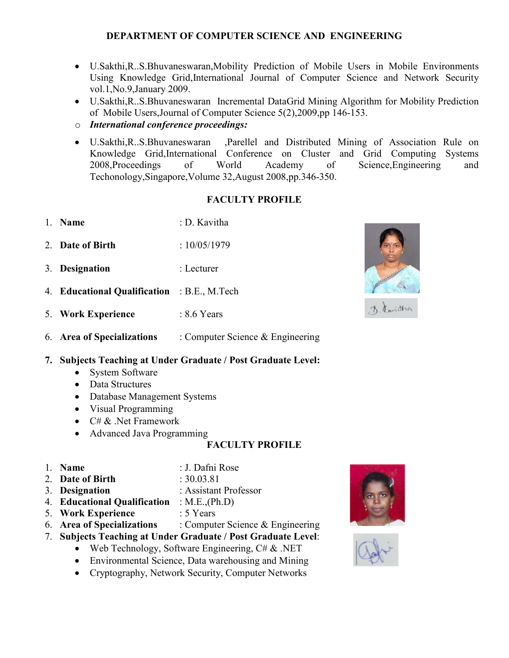- U.Sakthi,R..S.Bhuvaneswaran,Mobility Prediction of Mobile Users in Mobile Environments Using Knowledge Grid,International Journal of Computer Science and Network Security vol.1,No.9,January 2009.
- U.Sakthi,R..S.Bhuvaneswaran Incremental DataGrid Mining Algorithm for Mobility Prediction of Mobile Users,Journal of Computer Science 5(2),2009,pp 146-153.
- o International conference proceedings:
- U.Sakthi,R..S.Bhuvaneswaran ,Parellel and Distributed Mining of Association Rule on Knowledge Grid,International Conference on Cluster and Grid Computing Systems 2008,Proceedings of World Academy of Science,Engineering and Techonology,Singapore,Volume 32,August 2008,pp.346-350.

# FACULTY PROFILE

- 1 **Name** : D. Kavitha
- 2. **Date of Birth** :  $10/05/1979$
- 3. Designation : Lecturer
- 4. Educational Qualification : B.E., M.Tech
- 5. Work Experience : 8.6 Years
- 6. Area of Specializations : Computer Science & Engineering

#### 7. Subjects Teaching at Under Graduate / Post Graduate Level:

- System Software
- Data Structures
- Database Management Systems
- Visual Programming
- $C \# \&$  . Net Framework
- Advanced Java Programming

- 
- 1. Name : J. Dafni Rose
- 2. **Date of Birth : 30.03.81**
- 3. Designation : Assistant Professor
- 4. Educational Qualification : M.E.,(Ph.D)
- 5. Work Experience : 5 Years
- 6. Area of Specializations : Computer Science & Engineering
- 7. Subjects Teaching at Under Graduate / Post Graduate Level:
	- Web Technology, Software Engineering,  $C \# \& .NET$
	- Environmental Science, Data warehousing and Mining
	- Cryptography, Network Security, Computer Networks







of davidna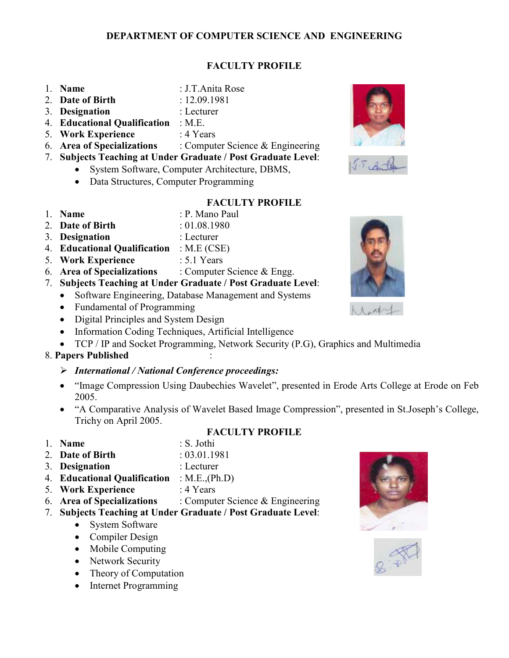### FACULTY PROFILE

- 1. Name : J.T.Anita Rose
- 2. **Date of Birth** : 12.09.1981
- 3. Designation : Lecturer
- 
- 4. Educational Qualification : M.E.
- 5. Work Experience : 4 Years
- 6. Area of Specializations : Computer Science & Engineering
- 7. Subjects Teaching at Under Graduate / Post Graduate Level:
	- System Software, Computer Architecture, DBMS,
	- Data Structures, Computer Programming
- 

1. **Name** : P. Mano Paul

- 2. **Date of Birth** : 01.08.1980
- 3. Designation : Lecturer
- 4. Educational Qualification : M.E (CSE)
- 5. Work Experience : 5.1 Years
- 6. Area of Specializations : Computer Science & Engg.
- 7. Subjects Teaching at Under Graduate / Post Graduate Level:
	- Software Engineering, Database Management and Systems
	- Fundamental of Programming
	- Digital Principles and System Design
	- Information Coding Techniques, Artificial Intelligence
	- TCP / IP and Socket Programming, Network Security (P.G), Graphics and Multimedia

# 8. Papers Published :

- $\triangleright$  International / National Conference proceedings:
- "Image Compression Using Daubechies Wavelet", presented in Erode Arts College at Erode on Feb 2005.
- "A Comparative Analysis of Wavelet Based Image Compression", presented in St.Joseph's College, Trichy on April 2005.
- 1. **Name** : S. Jothi

# FACULTY PROFILE

- 
- 2. **Date of Birth** : 03.01.1981
- 3. Designation : Lecturer
- 4. Educational Qualification : M.E.,(Ph.D)
- 5. Work Experience : 4 Years
- 6. Area of Specializations : Computer Science & Engineering
- 7. Subjects Teaching at Under Graduate / Post Graduate Level:
	- System Software
	- Compiler Design
	- Mobile Computing
	- Network Security
	- Theory of Computation
	- Internet Programming









- 
- 
-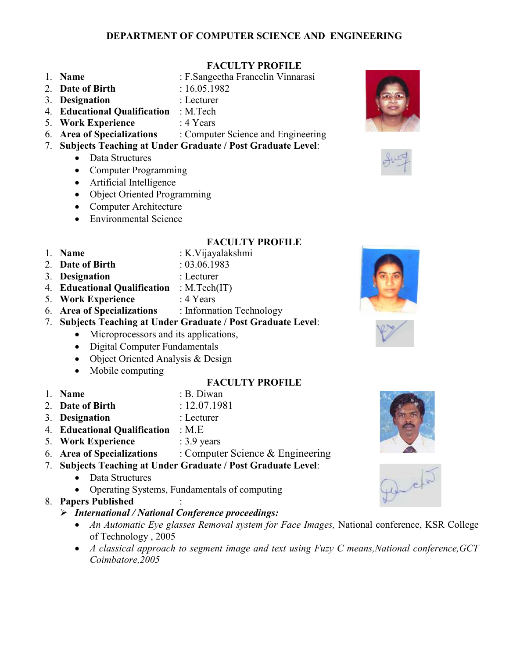# FACULTY PROFILE

- 1. Name : F.Sangeetha Francelin Vinnarasi
- 2. Date of Birth : 16.05.1982
- 
- 3. Designation : Lecturer
- 4. Educational Qualification : M.Tech
- 5. Work Experience : 4 Years
- 6. Area of Specializations : Computer Science and Engineering
- 7. Subjects Teaching at Under Graduate / Post Graduate Level:
	- Data Structures
	- Computer Programming
	- Artificial Intelligence
	- Object Oriented Programming
	- Computer Architecture
	- Environmental Science
- 
- FACULTY PROFILE 1. **Name** : K.Vijayalakshmi
- 2. **Date of Birth** : 03.06.1983
	-
- 3. Designation : Lecturer
	-
- 4. **Educational Qualification** : M.Tech(IT)<br>5. **Work Experience** : 4 Years 5. Work Experience
- 
- 6. Area of Specializations : Information Technology 7. Subjects Teaching at Under Graduate / Post Graduate Level:
	- Microprocessors and its applications,
		- Digital Computer Fundamentals
		-
		- Object Oriented Analysis & Design
		- Mobile computing
- 

# 1. **Name** : B. Diwan

FACULTY PROFILE

- 2. Date of Birth : 12.07.1981
- 3. Designation : Lecturer
- 4. Educational Qualification : M.E
- 5. Work Experience : 3.9 years
- 6. Area of Specializations  $\therefore$  Computer Science & Engineering

# 7. Subjects Teaching at Under Graduate / Post Graduate Level:

- Data Structures
- Operating Systems, Fundamentals of computing
- 8. Papers Published :
	- $\triangleright$  International / National Conference proceedings:
		- An Automatic Eye glasses Removal system for Face Images, National conference, KSR College of Technology , 2005
		- A classical approach to segment image and text using Fuzy C means, National conference, GCT Coimbatore,2005











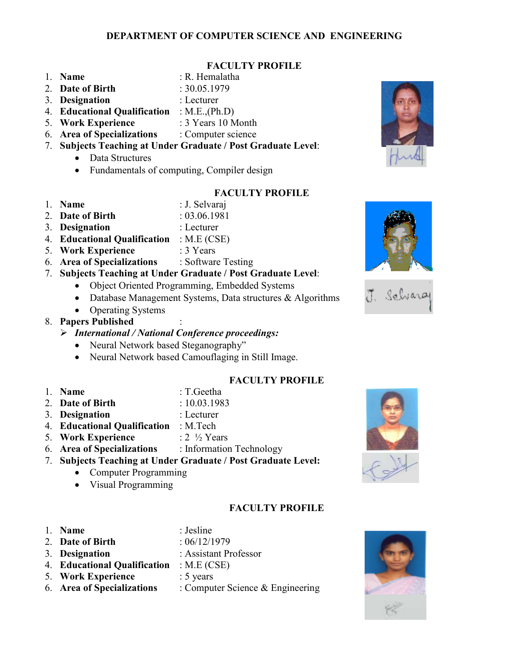#### FACULTY PROFILE

- 
- 1 **Name R** Hemalatha
- 2. **Date of Birth** : 30.05.1979
- 3. Designation : Lecturer
- 
- 5. Work Experience : 3 Years 10 Month
- 6. Area of Specializations : Computer science
- 7. Subjects Teaching at Under Graduate / Post Graduate Level:
	- Data Structures
	- Fundamentals of computing, Compiler design

- 1 Name : J. Selvaraj
- 2. Date of Birth : 03.06.1981
- 3. Designation : Lecturer
- 4. Educational Qualification : M.E (CSE)
- 5. Work Experience : 3 Years
- 6. Area of Specializations : Software Testing
- 7. Subjects Teaching at Under Graduate / Post Graduate Level:
	- Object Oriented Programming, Embedded Systems
	- Database Management Systems, Data structures & Algorithms
	- Operating Systems

# 8. Papers Published :

- $\triangleright$  International / National Conference proceedings:
	- Neural Network based Steganography"
	- Neural Network based Camouflaging in Still Image.

# FACULTY PROFILE

- 
- 1. Name : T.Geetha
- 2. Date of Birth : 10.03.1983
- 3. Designation : Lecturer
- 4. Educational Qualification : M.Tech
- 5. Work Experience  $: 2 \frac{1}{2}$  Years
- 6. Area of Specializations : Information Technology
- 7. Subjects Teaching at Under Graduate / Post Graduate Level:
	- Computer Programming
	- Visual Programming

# FACULTY PROFILE

1. Name : Jesline 2 Date of Birth : 06/12/1979 3. Designation : Assistant Professor 4. Educational Qualification : M.E (CSE) 5. Work Experience : 5 years 6. Area of Specializations  $\therefore$  Computer Science & Engineering













- 
- 4. Educational Qualification : M.E.,(Ph.D)
	-
	-

- FACULTY PROFILE
- 
- 
- 

- 
- 



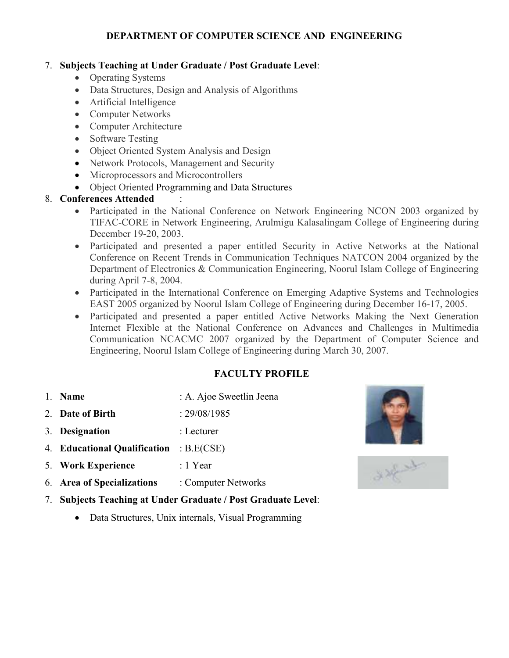# 7. Subjects Teaching at Under Graduate / Post Graduate Level:

- Operating Systems
- Data Structures, Design and Analysis of Algorithms
- Artificial Intelligence
- Computer Networks
- Computer Architecture
- Software Testing
- Object Oriented System Analysis and Design
- Network Protocols, Management and Security
- Microprocessors and Microcontrollers
- Object Oriented Programming and Data Structures

# 8. Conferences Attended :

- Participated in the National Conference on Network Engineering NCON 2003 organized by TIFAC-CORE in Network Engineering, Arulmigu Kalasalingam College of Engineering during December 19-20, 2003.
- Participated and presented a paper entitled Security in Active Networks at the National Conference on Recent Trends in Communication Techniques NATCON 2004 organized by the Department of Electronics & Communication Engineering, Noorul Islam College of Engineering during April 7-8, 2004.
- Participated in the International Conference on Emerging Adaptive Systems and Technologies EAST 2005 organized by Noorul Islam College of Engineering during December 16-17, 2005.
- Participated and presented a paper entitled Active Networks Making the Next Generation Internet Flexible at the National Conference on Advances and Challenges in Multimedia Communication NCACMC 2007 organized by the Department of Computer Science and Engineering, Noorul Islam College of Engineering during March 30, 2007.

- 1. Name : A. Ajoe Sweetlin Jeena
- 2. **Date of Birth : 29/08/1985**
- 3. Designation : Lecturer
- 4. Educational Qualification : B.E(CSE)
- 5. Work Experience : 1 Year
- 6. Area of Specializations : Computer Networks
- 7. Subjects Teaching at Under Graduate / Post Graduate Level:
	- Data Structures, Unix internals, Visual Programming